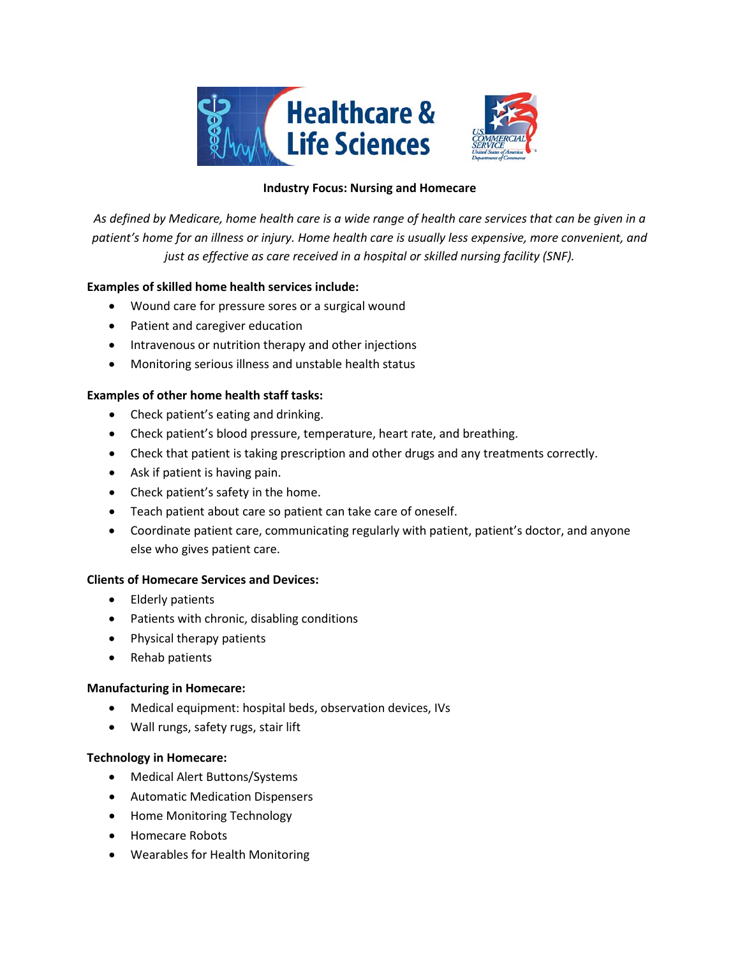

### **Industry Focus: Nursing and Homecare**

*As defined by Medicare, home health care is a wide range of health care services that can be given in a patient's home for an illness or injury. Home health care is usually less expensive, more convenient, and just as effective as care received in a hospital or skilled nursing facility (SNF).*

## **Examples of skilled home health services include:**

- Wound care for pressure sores or a surgical wound
- Patient and caregiver education
- Intravenous or nutrition therapy and other injections
- Monitoring serious illness and unstable health status

## **Examples of other home health staff tasks:**

- Check patient's eating and drinking.
- Check patient's blood pressure, temperature, heart rate, and breathing.
- Check that patient is taking prescription and other drugs and any treatments correctly.
- Ask if patient is having pain.
- Check patient's safety in the home.
- Teach patient about care so patient can take care of oneself.
- Coordinate patient care, communicating regularly with patient, patient's doctor, and anyone else who gives patient care.

### **Clients of Homecare Services and Devices:**

- Elderly patients
- Patients with chronic, disabling conditions
- Physical therapy patients
- Rehab patients

### **Manufacturing in Homecare:**

- Medical equipment: hospital beds, observation devices, IVs
- Wall rungs, safety rugs, stair lift

#### **Technology in Homecare:**

- Medical Alert Buttons/Systems
- Automatic Medication Dispensers
- Home Monitoring Technology
- Homecare Robots
- Wearables for Health Monitoring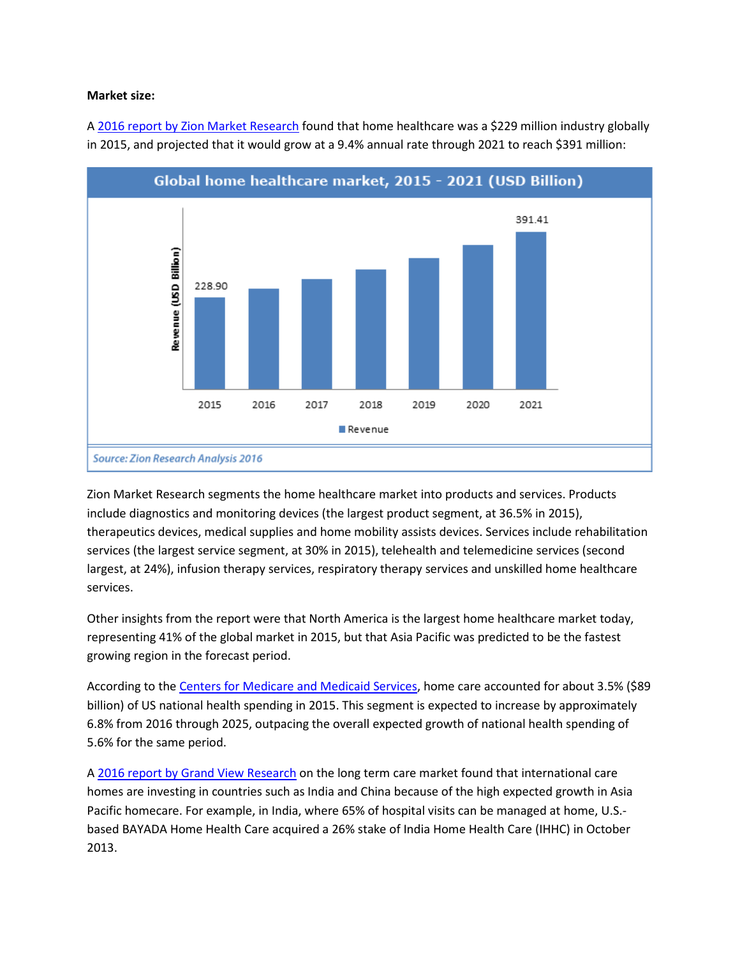#### **Market size:**

A [2016 report by Zion Market Research](https://www.zionmarketresearch.com/market-analysis/home-healthcare-market) found that home healthcare was a \$229 million industry globally in 2015, and projected that it would grow at a 9.4% annual rate through 2021 to reach \$391 million:



Zion Market Research segments the home healthcare market into products and services. Products include diagnostics and monitoring devices (the largest product segment, at 36.5% in 2015), therapeutics devices, medical supplies and home mobility assists devices. Services include rehabilitation services (the largest service segment, at 30% in 2015), telehealth and telemedicine services (second largest, at 24%), infusion therapy services, respiratory therapy services and unskilled home healthcare services.

Other insights from the report were that North America is the largest home healthcare market today, representing 41% of the global market in 2015, but that Asia Pacific was predicted to be the fastest growing region in the forecast period.

According to the [Centers for Medicare and Medicaid Services,](https://www.cms.gov/Research-Statistics-Data-and-Systems/Statistics-Trends-and-Reports/NationalHealthExpendData/NationalHealthAccountsProjected.html) home care accounted for about 3.5% (\$89 billion) of US national health spending in 2015. This segment is expected to increase by approximately 6.8% from 2016 through 2025, outpacing the overall expected growth of national health spending of 5.6% for the same period.

A [2016 report by Grand View Research](http://www.grandviewresearch.com/industry-analysis/long-term-care-services-market) on the long term care market found that international care homes are investing in countries such as India and China because of the high expected growth in Asia Pacific homecare. For example, in India, where 65% of hospital visits can be managed at home, U.S. based BAYADA Home Health Care acquired a 26% stake of India Home Health Care (IHHC) in October 2013.